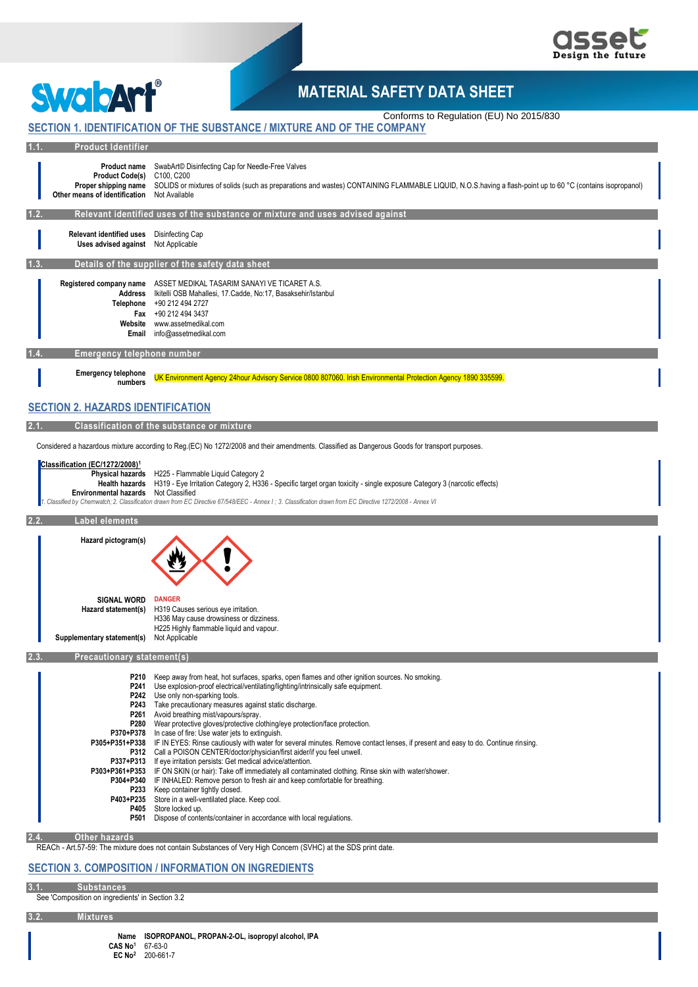



# **MATERIAL SAFETY DATA SHEET**

## Conforms to Regulation (EU) No 2015/830 **SECTION 1. IDENTIFICATION OF THE SUBSTANCE / MIXTURE AND OF THE COMPANY**

|  | <b>Product Identifie</b> |  |
|--|--------------------------|--|

| 1.1. | <b>Product Identifier</b>                                                                      |                                                                                                                                                                                                                                                                                                                                                                                                                                                                                                                                                                                                                                                                                                                                                                                                                                                                                                                                                                                                                                                                                                                                                                                                                           |
|------|------------------------------------------------------------------------------------------------|---------------------------------------------------------------------------------------------------------------------------------------------------------------------------------------------------------------------------------------------------------------------------------------------------------------------------------------------------------------------------------------------------------------------------------------------------------------------------------------------------------------------------------------------------------------------------------------------------------------------------------------------------------------------------------------------------------------------------------------------------------------------------------------------------------------------------------------------------------------------------------------------------------------------------------------------------------------------------------------------------------------------------------------------------------------------------------------------------------------------------------------------------------------------------------------------------------------------------|
|      | Product Code(s) C100, C200<br>Other means of identification Not Available                      | <b>Product name</b> SwabArt© Disinfecting Cap for Needle-Free Valves<br>Proper shipping name SOLIDS or mixtures of solids (such as preparations and wastes) CONTAINING FLAMMABLE LIQUID, N.O.S.having a flash-point up to 60 °C (contains isopropanol)                                                                                                                                                                                                                                                                                                                                                                                                                                                                                                                                                                                                                                                                                                                                                                                                                                                                                                                                                                    |
| 1.2. |                                                                                                | Relevant identified uses of the substance or mixture and uses advised against                                                                                                                                                                                                                                                                                                                                                                                                                                                                                                                                                                                                                                                                                                                                                                                                                                                                                                                                                                                                                                                                                                                                             |
|      | <b>Relevant identified uses</b><br>Uses advised against Not Applicable                         | Disinfecting Cap                                                                                                                                                                                                                                                                                                                                                                                                                                                                                                                                                                                                                                                                                                                                                                                                                                                                                                                                                                                                                                                                                                                                                                                                          |
| 1.3. |                                                                                                | Details of the supplier of the safety data sheet                                                                                                                                                                                                                                                                                                                                                                                                                                                                                                                                                                                                                                                                                                                                                                                                                                                                                                                                                                                                                                                                                                                                                                          |
|      |                                                                                                | Registered company name ASSET MEDIKAL TASARIM SANAYI VE TICARET A.S.<br>Address Ikitelli OSB Mahallesi, 17. Cadde, No:17, Basaksehir/Istanbul<br>Telephone +90 212 494 2727<br>Fax +90 212 494 3437<br>Website www.assetmedikal.com<br>Email info@assetmedikal.com                                                                                                                                                                                                                                                                                                                                                                                                                                                                                                                                                                                                                                                                                                                                                                                                                                                                                                                                                        |
|      | Emergency telephone number                                                                     |                                                                                                                                                                                                                                                                                                                                                                                                                                                                                                                                                                                                                                                                                                                                                                                                                                                                                                                                                                                                                                                                                                                                                                                                                           |
|      | <b>Emergency telephone</b><br>numbers                                                          | UK Environment Agency 24hour Advisory Service 0800 807060. Irish Environmental Protection Agency 1890 335599.                                                                                                                                                                                                                                                                                                                                                                                                                                                                                                                                                                                                                                                                                                                                                                                                                                                                                                                                                                                                                                                                                                             |
|      | <b>SECTION 2. HAZARDS IDENTIFICATION</b>                                                       |                                                                                                                                                                                                                                                                                                                                                                                                                                                                                                                                                                                                                                                                                                                                                                                                                                                                                                                                                                                                                                                                                                                                                                                                                           |
| 2.1. |                                                                                                | Classification of the substance or mixture                                                                                                                                                                                                                                                                                                                                                                                                                                                                                                                                                                                                                                                                                                                                                                                                                                                                                                                                                                                                                                                                                                                                                                                |
|      |                                                                                                | Considered a hazardous mixture according to Reg.(EC) No 1272/2008 and their amendments. Classified as Dangerous Goods for transport purposes.                                                                                                                                                                                                                                                                                                                                                                                                                                                                                                                                                                                                                                                                                                                                                                                                                                                                                                                                                                                                                                                                             |
|      | Classification (EC/1272/2008) <sup>1</sup><br>Environmental hazards Not Classified             | Physical hazards H225 - Flammable Liquid Category 2<br>Health hazards H319 - Eye Irritation Category 2, H336 - Specific target organ toxicity - single exposure Category 3 (narcotic effects)                                                                                                                                                                                                                                                                                                                                                                                                                                                                                                                                                                                                                                                                                                                                                                                                                                                                                                                                                                                                                             |
|      |                                                                                                | Classified by Chemwatch; 2. Classification drawn from EC Directive 67/548/EEC - Annex I; 3. Classification drawn from EC Directive 1272/2008 - Annex VI                                                                                                                                                                                                                                                                                                                                                                                                                                                                                                                                                                                                                                                                                                                                                                                                                                                                                                                                                                                                                                                                   |
|      | Label elements                                                                                 |                                                                                                                                                                                                                                                                                                                                                                                                                                                                                                                                                                                                                                                                                                                                                                                                                                                                                                                                                                                                                                                                                                                                                                                                                           |
|      | Hazard pictogram(s)<br><b>SIGNAL WORD</b><br>Hazard statement(s)<br>Supplementary statement(s) | <b>DANGER</b><br>H319 Causes serious eye irritation.<br>H336 May cause drowsiness or dizziness.<br>H225 Highly flammable liquid and vapour.<br>Not Applicable                                                                                                                                                                                                                                                                                                                                                                                                                                                                                                                                                                                                                                                                                                                                                                                                                                                                                                                                                                                                                                                             |
| 2.3  | <b>Precautionary statement(s)</b>                                                              |                                                                                                                                                                                                                                                                                                                                                                                                                                                                                                                                                                                                                                                                                                                                                                                                                                                                                                                                                                                                                                                                                                                                                                                                                           |
|      | P210                                                                                           | Keep away from heat, hot surfaces, sparks, open flames and other ignition sources. No smoking.<br>P241 Use explosion-proof electrical/ventilating/lighting/intrinsically safe equipment.<br>P242 Use only non-sparking tools.<br>P243 Take precautionary measures against static discharge.<br>P261 Avoid breathing mist/vapours/spray.<br><b>P280</b> Wear protective gloves/protective clothing/eye protection/face protection.<br>P370+P378 In case of fire: Use water jets to extinguish.<br>P305+P351+P338 IF IN EYES: Rinse cautiously with water for several minutes. Remove contact lenses, if present and easy to do. Continue rinsing.<br>P312 Call a POISON CENTER/doctor/physician/first aider/if you feel unwell.<br>P337+P313 If eye irritation persists: Get medical advice/attention.<br>P303+P361+P353 IF ON SKIN (or hair): Take off immediately all contaminated clothing. Rinse skin with water/shower.<br>P304+P340 IF INHALED: Remove person to fresh air and keep comfortable for breathing.<br>P233 Keep container tightly closed.<br>P403+P235 Store in a well-ventilated place. Keep cool.<br>P405 Store locked up.<br>P501 Dispose of contents/container in accordance with local regulations. |
| 2.4. | Other hazards                                                                                  | REACh - Art.57-59: The mixture does not contain Substances of Very High Concern (SVHC) at the SDS print date.                                                                                                                                                                                                                                                                                                                                                                                                                                                                                                                                                                                                                                                                                                                                                                                                                                                                                                                                                                                                                                                                                                             |

**3.1. Substances**

See 'Composition on ingredients' in Section 3.2

**3.2. Mixtures**

**Name ISOPROPANOL, PROPAN-2-OL, isopropyl alcohol, IPA CAS No<sup>1</sup>** 67-63-0

**EC No<sup>2</sup>** 200-661-7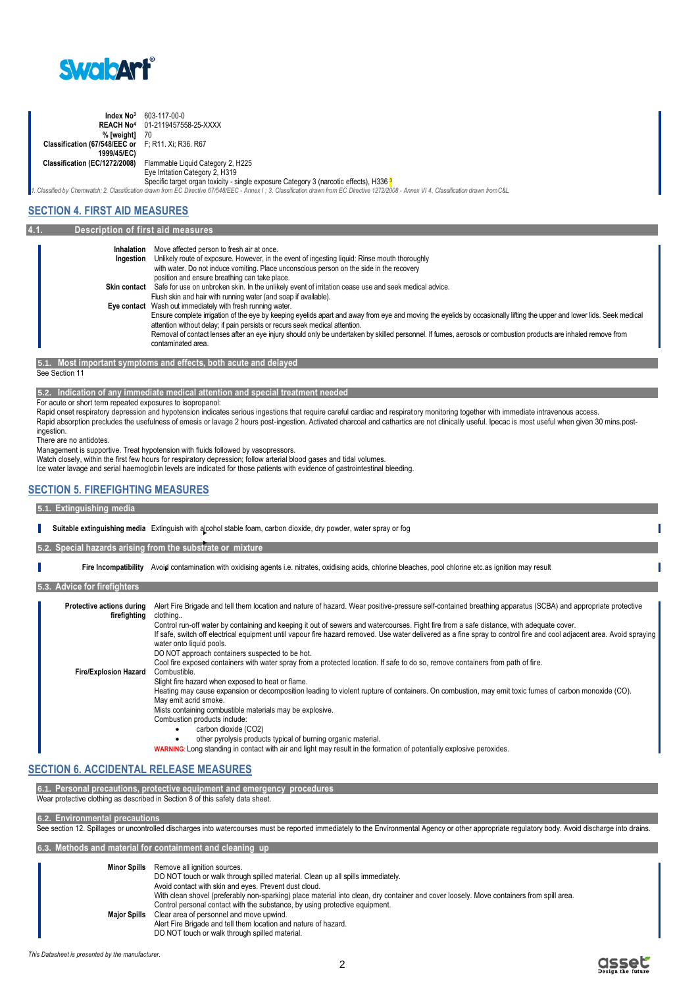

| Index No <sup>3</sup>                              | 603-117-00-0                                                                                                                                                                                |
|----------------------------------------------------|---------------------------------------------------------------------------------------------------------------------------------------------------------------------------------------------|
|                                                    | <b>REACH No<sup>4</sup></b> 01-2119457558-25-XXXX                                                                                                                                           |
| % [weight]                                         | 70                                                                                                                                                                                          |
| Classification (67/548/EEC or F: R11. Xi: R36. R67 |                                                                                                                                                                                             |
| 1999/45/EC)                                        |                                                                                                                                                                                             |
| <b>Classification (EC/1272/2008)</b>               | Flammable Liquid Category 2, H225                                                                                                                                                           |
|                                                    | Eye Irritation Category 2, H319                                                                                                                                                             |
|                                                    | Specific target organ toxicity - single exposure Category 3 (narcotic effects), H336 3                                                                                                      |
|                                                    | 1. Classified by Chemwatch; 2. Classification drawn from EC Directive 67/548/EEC - Annex I; 3. Classification drawn from EC Directive 1272/2008 - Annex VI 4. Classification drawn from C&L |

## **SECTION 4. FIRST AID MEASURES**

| 4.1. | Description of first aid measures |                                                                                                                                                                                                                                                                                                                                                                                                                                                                                        |
|------|-----------------------------------|----------------------------------------------------------------------------------------------------------------------------------------------------------------------------------------------------------------------------------------------------------------------------------------------------------------------------------------------------------------------------------------------------------------------------------------------------------------------------------------|
|      | Inhalation<br>Ingestion           | Move affected person to fresh air at once.<br>Unlikely route of exposure. However, in the event of ingesting liquid: Rinse mouth thoroughly                                                                                                                                                                                                                                                                                                                                            |
|      |                                   | with water. Do not induce vomiting. Place unconscious person on the side in the recovery<br>position and ensure breathing can take place.                                                                                                                                                                                                                                                                                                                                              |
|      | <b>Skin contact</b>               | Safe for use on unbroken skin. In the unlikely event of irritation cease use and seek medical advice.<br>Flush skin and hair with running water (and soap if available).                                                                                                                                                                                                                                                                                                               |
|      |                                   | Eye contact Wash out immediately with fresh running water.<br>Ensure complete irrigation of the eye by keeping eyelids apart and away from eye and moving the eyelids by occasionally lifting the upper and lower lids. Seek medical<br>attention without delay; if pain persists or recurs seek medical attention.<br>Removal of contact lenses after an eye injury should only be undertaken by skilled personnel. If fumes, aerosols or combustion products are inhaled remove from |
|      |                                   | contaminated area.                                                                                                                                                                                                                                                                                                                                                                                                                                                                     |

**5.1. Most important symptoms and effects, both acute and delayed** See Section 11

**5.2. Indication of any immediate medical attention and special treatment needed**

For acute or short term repeated exposures to isopropanol:

Rapid onset respiratory depression and hypotension indicates serious ingestions that require careful cardiac and respiratory monitoring together with immediate intravenous access. Rapid absorption precludes the usefulness of emesis or lavage 2 hours post-ingestion. Activated charcoal and cathartics are not clinically useful. Ipecac is most useful when given 30 mins.postingestion.

There are no antidotes.

Management is supportive. Treat hypotension with fluids followed by vasopressors.

Watch closely, within the first few hours for respiratory depression; follow arterial blood gases and tidal volumes.

Ice water lavage and serial haemoglobin levels are indicated for those patients with evidence of gastrointestinal bleeding.

## **SECTION 5. FIREFIGHTING MEASURES**

#### **5.1. Extinguishing media**

|                                                  | Suitable extinguishing media Extinguish with alcohol stable foam, carbon dioxide, dry powder, water spray or fog                                                                                                                                                                                                                                                                                                                                                                                                                                                                                                                                                                                               |
|--------------------------------------------------|----------------------------------------------------------------------------------------------------------------------------------------------------------------------------------------------------------------------------------------------------------------------------------------------------------------------------------------------------------------------------------------------------------------------------------------------------------------------------------------------------------------------------------------------------------------------------------------------------------------------------------------------------------------------------------------------------------------|
|                                                  | 5.2. Special hazards arising from the substrate or mixture                                                                                                                                                                                                                                                                                                                                                                                                                                                                                                                                                                                                                                                     |
|                                                  | Fire Incompatibility Avoid contamination with oxidising agents i.e. nitrates, oxidising acids, chlorine bleaches, pool chlorine etc.as ignition may result                                                                                                                                                                                                                                                                                                                                                                                                                                                                                                                                                     |
| 5.3. Advice for firefighters                     |                                                                                                                                                                                                                                                                                                                                                                                                                                                                                                                                                                                                                                                                                                                |
| <b>Protective actions during</b><br>firefighting | Alert Fire Brigade and tell them location and nature of hazard. Wear positive-pressure self-contained breathing apparatus (SCBA) and appropriate protective<br>clothing<br>Control run-off water by containing and keeping it out of sewers and watercourses. Fight fire from a safe distance, with adequate cover.<br>If safe, switch off electrical equipment until vapour fire hazard removed. Use water delivered as a fine spray to control fire and cool adjacent area. Avoid spraying<br>water onto liquid pools.<br>DO NOT approach containers suspected to be hot.<br>Cool fire exposed containers with water spray from a protected location. If safe to do so, remove containers from path of fire. |
| <b>Fire/Explosion Hazard</b>                     | Combustible.<br>Slight fire hazard when exposed to heat or flame.<br>Heating may cause expansion or decomposition leading to violent rupture of containers. On combustion, may emit toxic fumes of carbon monoxide (CO).<br>May emit acrid smoke.<br>Mists containing combustible materials may be explosive.<br>Combustion products include:<br>carbon dioxide (CO2)<br>other pyrolysis products typical of burning organic material.<br><b>WARNING:</b> Long standing in contact with air and light may result in the formation of potentially explosive peroxides.                                                                                                                                          |

## **SECTION 6. ACCIDENTAL RELEASE MEASURES**

**6.1. Personal precautions, protective equipment and emergency procedures** Wear protective clothing as described in Section 8 of this safety data sheet.

**6.2. Environmental precautions**

See section 12. Spillages or uncontrolled discharges into watercourses must be reported immediately to the Environmental Agency or other appropriate regulatory body. Avoid discharge into drains.

**6.3. Methods and material for containment and cleaning up**

| With clean shovel (preferably non-sparking) place material into clean, dry container and cover loosely. Move containers from spill area. |
|------------------------------------------------------------------------------------------------------------------------------------------|
|                                                                                                                                          |
|                                                                                                                                          |
|                                                                                                                                          |
|                                                                                                                                          |
|                                                                                                                                          |

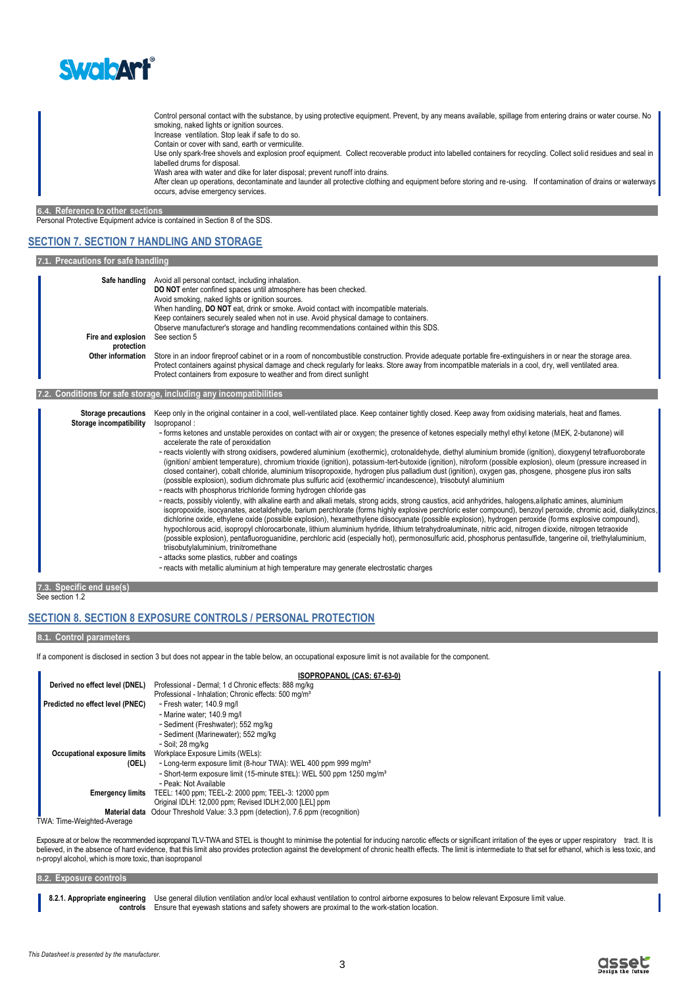

Control personal contact with the substance, by using protective equipment. Prevent, by any means available, spillage from entering drains or water course. No smoking, naked lights or ignition sources. Increase ventilation. Stop leak if safe to do so.

Contain or cover with sand, earth or vermiculite.

Use only spark-free shovels and explosion proof equipment. Collect recoverable product into labelled containers for recycling. Collect solid residues and seal in labelled drums for disposal.

Wash area with water and dike for later disposal; prevent runoff into drains.

After clean up operations, decontaminate and launder all protective clothing and equipment before storing and re-using. If contamination of drains or waterways occurs, advise emergency services.

**6.4. Reference to other sections**

Personal Protective Equipment advice is contained in Section 8 of the SDS.

## **SECTION 7. SECTION 7 HANDLING AND STORAGE**

#### **7.1. Precautions for safe handling**

| Safe handling      | Avoid all personal contact, including inhalation.                                                                                                           |
|--------------------|-------------------------------------------------------------------------------------------------------------------------------------------------------------|
|                    | DO NOT enter confined spaces until atmosphere has been checked.                                                                                             |
|                    | Avoid smoking, naked lights or ignition sources.                                                                                                            |
|                    | When handling, DO NOT eat, drink or smoke. Avoid contact with incompatible materials.                                                                       |
|                    | Keep containers securely sealed when not in use. Avoid physical damage to containers.                                                                       |
|                    | Observe manufacturer's storage and handling recommendations contained within this SDS.                                                                      |
| Fire and explosion | See section 5                                                                                                                                               |
| protection         |                                                                                                                                                             |
| Other information  | Store in an indoor fireproof cabinet or in a room of noncombustible construction. Provide adequate portable fire-extinguishers in or near the storage area. |
|                    | Protect containers against physical damage and check regularly for leaks. Store away from incompatible materials in a cool, dry, well ventilated area.      |
|                    | Protect containers from exposure to weather and from direct sunlight                                                                                        |
|                    |                                                                                                                                                             |

#### **7.2. Conditions for safe storage, including any incompatibilities**

| Storage precautions     | Keep only in the original container in a cool, well-ventilated place. Keep container tightly closed. Keep away from oxidising materials, heat and flames.                                                                                                                                                                                                                                                                                                                                                                                                                                                                                                                                                                                                                                                                                                                                                                                                                                              |
|-------------------------|--------------------------------------------------------------------------------------------------------------------------------------------------------------------------------------------------------------------------------------------------------------------------------------------------------------------------------------------------------------------------------------------------------------------------------------------------------------------------------------------------------------------------------------------------------------------------------------------------------------------------------------------------------------------------------------------------------------------------------------------------------------------------------------------------------------------------------------------------------------------------------------------------------------------------------------------------------------------------------------------------------|
| Storage incompatibility | Isopropanol:                                                                                                                                                                                                                                                                                                                                                                                                                                                                                                                                                                                                                                                                                                                                                                                                                                                                                                                                                                                           |
|                         | - forms ketones and unstable peroxides on contact with air or oxygen; the presence of ketones especially methyl ethyl ketone (MEK, 2-butanone) will<br>accelerate the rate of peroxidation                                                                                                                                                                                                                                                                                                                                                                                                                                                                                                                                                                                                                                                                                                                                                                                                             |
|                         | - reacts violently with strong oxidisers, powdered aluminium (exothermic), crotonaldehyde, diethyl aluminium bromide (ignition), dioxygenyl tetrafluoroborate<br>(ignition/ ambient temperature), chromium trioxide (ignition), potassium-tert-butoxide (ignition), nitroform (possible explosion), oleum (pressure increased in<br>closed container), cobalt chloride, aluminium triisopropoxide, hydrogen plus palladium dust (ignition), oxygen gas, phosgene, phosgene plus iron salts<br>(possible explosion), sodium dichromate plus sulfuric acid (exothermic/incandescence), triisobutyl aluminium<br>- reacts with phosphorus trichloride forming hydrogen chloride gas                                                                                                                                                                                                                                                                                                                       |
|                         | - reacts, possibly violently, with alkaline earth and alkali metals, strong acids, strong caustics, acid anhydrides, halogens, aliphatic amines, aluminium<br>isopropoxide, isocyanates, acetaldehyde, barium perchlorate (forms highly explosive perchloric ester compound), benzoyl peroxide, chromic acid, dialkylzincs,<br>dichlorine oxide, ethylene oxide (possible explosion), hexamethylene diisocyanate (possible explosion), hydrogen peroxide (forms explosive compound),<br>hypochlorous acid, isopropyl chlorocarbonate, lithium aluminium hydride, lithium tetrahydroaluminate, nitric acid, nitrogen dioxide, nitrogen tetraoxide<br>(possible explosion), pentafluoroquanidine, perchloric acid (especially hot), permonosulfuric acid, phosphorus pentasulfide, tangerine oil, triethylaluminium,<br>triisobutylaluminium, trinitromethane<br>- attacks some plastics, rubber and coatings<br>- reacts with metallic aluminium at high temperature may generate electrostatic charges |

**7.3. Specific end use(s)** See section 1.2

## **SECTION 8. SECTION 8 EXPOSURE CONTROLS / PERSONAL PROTECTION**

#### **8.1. Control parameters**

If a component is disclosed in section 3 but does not appear in the table below, an occupational exposure limit is not available for the component.

|                                  | ISOPROPANOL (CAS: 67-63-0)                                                       |
|----------------------------------|----------------------------------------------------------------------------------|
| Derived no effect level (DNEL)   | Professional - Dermal: 1 d Chronic effects: 888 mg/kg                            |
|                                  | Professional - Inhalation; Chronic effects: 500 mg/m <sup>3</sup>                |
| Predicted no effect level (PNEC) | - Fresh water; 140.9 mg/l                                                        |
|                                  | - Marine water; 140.9 mg/l                                                       |
|                                  | - Sediment (Freshwater); 552 mg/kg                                               |
|                                  | - Sediment (Marinewater); 552 mg/kg                                              |
|                                  | - Soil: 28 ma/ka                                                                 |
| Occupational exposure limits     | Workplace Exposure Limits (WELs):                                                |
| (OEL)                            | - Long-term exposure limit (8-hour TWA): WEL 400 ppm 999 mg/m <sup>3</sup>       |
|                                  | - Short-term exposure limit (15-minute STEL): WEL 500 ppm 1250 mg/m <sup>3</sup> |
|                                  | - Peak: Not Available                                                            |
| <b>Emergency limits</b>          | TEEL: 1400 ppm; TEEL-2: 2000 ppm; TEEL-3: 12000 ppm                              |
|                                  | Original IDLH: 12,000 ppm; Revised IDLH:2,000 [LEL] ppm                          |
| <b>Material data</b>             | Odour Threshold Value: 3.3 ppm (detection), 7.6 ppm (recognition)                |
| TWA: Time-Weighted-Average       |                                                                                  |

Exposure at or below the recommended isopropanol TLV-TWA and STEL is thought to minimise the potential for inducing narcotic effects or significant irritation of the eyes or upper respiratory tract. It is believed, in the absence of hard evidence, that this limit also provides protection against the development of chronic health effects. The limit is intermediate to that set for ethanol, which is less toxic, and n-propyl alcohol, which is more toxic, than isopropanol

#### **8.2. Exposure controls**

8.2.1. Appropriate engineering Use general dilution ventilation and/or local exhaust ventilation to control airborne exposures to below relevant Exposure limit value. **controls** Ensure that eyewash stations and safety showers are proximal to the work-station location.

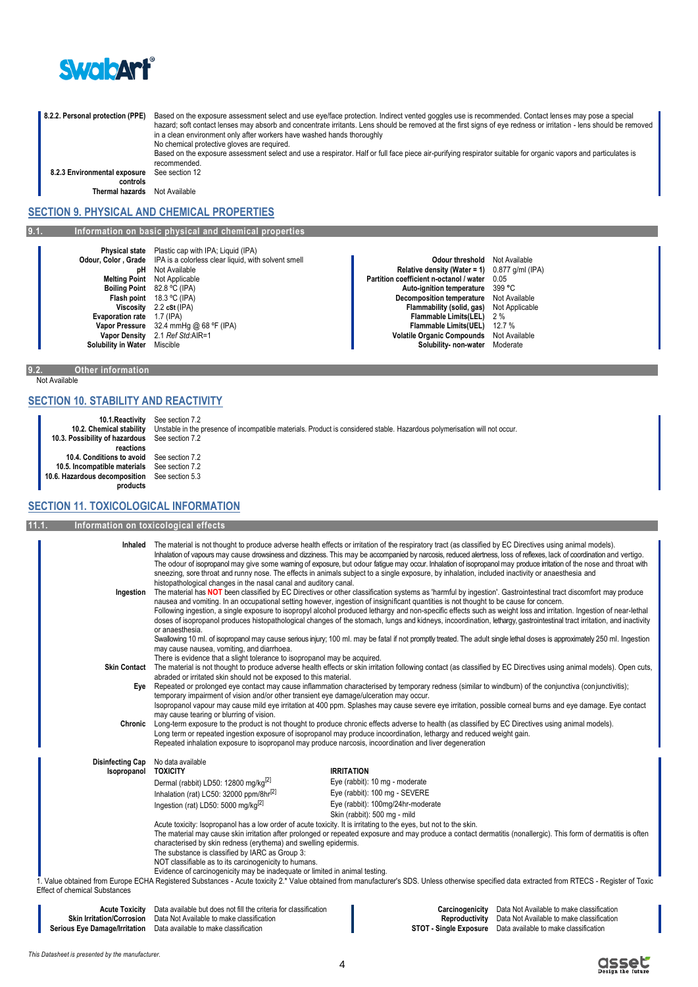

8.2.2. Personal protection (PPE) Based on the exposure assessment select and use eye/face protection. Indirect vented goggles use is recommended. Contact lenses may pose a special hazard; soft contact lenses may absorb and concentrate irritants. Lens should be removed at the first signs of eye redness or irritation - lens should be removed in a clean environment only after workers have washed hands thoroughly No chemical protective gloves are required.

Based on the exposure assessment select and use a respirator. Half or full face piece air-purifying respirator suitable for organic vapors and particulates is recommended. See section 12

**8.2.3 Environmental exposure controls**

**Thermal hazards** Not Available

## **SECTION 9. PHYSICAL AND CHEMICAL PROPERTIES**

**9.1. Information on basic physical and chemical properties**

**Physical state** Plastic cap with IPA; Liquid (IPA) **Odour, Color, Grade** IPA is a colorless clear liquid, with **Vapor Density** 2.1 *Ref Std:AIR=1 Ability in Water* Miscible

**Odour threshold** Not Available **Color Color Science II Color Color Science I Color Color Science I Color Color Science I Color Color Science I Color Color Color Color Color Color Color Color Color Color Colo Boiling Point 82.8 °C** (IPA) **Auto-ignition temperature** 31.8 °C (IPA) **Auto-ignition temperature** 39

**philopheric contract the contract of the Relative density (Water = 1)** 0.877<br>Melting Point Not Applicable **Relative density (Water 1)** 0.057<br>**Partition coefficient n-octanol / water** 0.05 **Melting Point** Not Applicable **Partition coefficient n-octanol / water** 0.05 **Partition coefficient n-octanol / water** 0.05 **Partition coefficient n-octanol / water** 0.05 **Partition coefficient n-octanol / water** 0.99 °C **Flash point** 18.3 °C (IPA) **Decomposition temperature** Not Available<br>**Viscosity** 2.2 cst (IPA) **Decomposition temperature** Not Applicable **Video (IPA) Flammability (solid, gas)** Not **Flammability (solid, gas)** Not **Flammability (solid, gas)** Not **Flammability (solid, gas)** Not **Flammability (solid, gas)** Not **Flammability** (solid, gas) **Evaporation rate** 1.7 (IPA) **Flammable Limits(LEL)** 2 %<br> **Vapor Pressure** 32.4 mmHg @ 68 °F (IPA) **Flammable Limits(LEL)** 2 % **Flammable Limits(UEL)** 12.7 % 12.4 mmHg @ 68 °F (IPA) **Flammable Limits(UEL)** 12.7 %<br>2.1 *Ref Std:* AlR=1 **Flammable Limits(UEL)** 12.7 % **Solubility in Water** Miscible **Solubility- non-water** Moderate

#### **9.2. Other information** Not Available

## **SECTION 10. STABILITY AND REACTIVITY**

**10.1.Reactivity** See section 7.2<br>**10.2. Chemical stability** Unstable in the 1 **10.2. Chemical stability** Unstable in the presence of incompatible materials. Product is considered stable. Hazardous polymerisation will not occur. **10.3. Possibility of hazardous reactions** See section 7.2 **10.4. Conditions to avoid** See section 7.2 **10.5. Incompatible materials 10.6. Hazardous decomposition products** See section 5.3

## **SECTION 11. TOXICOLOGICAL INFORMATION**

**11.1. Information on toxicological effects Inhaled** The material is not thought to produce adverse health effects or irritation of the respiratory tract (as classified by EC Directives using animal models). Inhalation of vapours may cause drowsiness and dizziness. This may be accompanied by narcosis, reduced alertness, loss of reflexes, lack of coordination and vertigo. The odour of isopropanol may give some warning of exposure, but odour fatigue may occur. Inhalation of isopropanol may produce irritation of the nose and throat with sneezing, sore throat and runny nose. The effects in animals subject to a single exposure, by inhalation, included inactivity or anaesthesia and histopathological changes in the nasal canal and auditory canal. **Ingestion** The material has **NOT** been classified by EC Directives or other classification systems as 'harmful by ingestion'. Gastrointestinal tract discomfort may produce nausea and vomiting. In an occupational setting however, ingestion of insignificant quantities is not thought to be cause for concern. Following ingestion, a single exposure to isopropyl alcohol produced lethargy and non-specific effects such as weight loss and irritation. Ingestion of near-lethal doses of isopropanol produces histopathological changes of the stomach, lungs and kidneys, incoordination, lethargy, gastrointestinal tract irritation, and inactivity or anaesthesia. Swallowing 10 ml. of isopropanol may cause serious injury; 100 ml. may be fatal if not promptly treated. The adult single lethal doses is approximately 250 ml. Ingestion may cause nausea, vomiting, and diarrhoea. There is evidence that a slight tolerance to isopropanol may be acquired. **Skin Contact** The material is not thought to produce adverse health effects or skin irritation following contact (as classified by EC Directives using animal models). Open cuts, abraded or irritated skin should not be exposed to this material. **Eye** Repeated or prolonged eye contact may cause inflammation characterised by temporary redness (similar to windburn) of the conjunctiva (conjunctivitis); temporary impairment of vision and/or other transient eye damage/ulceration may occur. Isopropanol vapour may cause mild eye irritation at 400 ppm. Splashes may cause severe eye irritation, possible corneal burns and eye damage. Eye contact may cause tearing or blurring of vision. **Chronic** Long-term exposure to the product is not thought to produce chronic effects adverse to health (as classified by EC Directives using animal models). Long term or repeated ingestion exposure of isopropanol may produce incoordination, lethargy and reduced weight gain. Repeated inhalation exposure to isopropanol may produce narcosis, incoordination and liver degeneration **Disinfecting Cap** No data available<br>**ISODICALLY Isopropanol TOXICITY IRRITATION** Dermal (rabbit) LD50: 12800 mg/kg<sup>[2]</sup> Eye (rabbit): 10 mg - moderate Inhalation (rat) LC50:  $32000 \text{ ppm/8hr}^{[2]}$  Eye (rabbit): 100 mg - SEVERE Ingestion (rat) LD50: 5000 mg/kg[2] Eye (rabbit): 100mg/24hr-moderate Skin (rabbit): 500 mg - mild Acute toxicity: Isopropanol has a low order of acute toxicity. It is irritating to the eyes, but not to the skin. The material may cause skin irritation after prolonged or repeated exposure and may produce a contact dermatitis (nonallergic). This form of dermatitis is often characterised by skin redness (erythema) and swelling epidermis. The substance is classified by IARC as Group 3: NOT classifiable as to its carcinogenicity to humans. Evidence of carcinogenicity may be inadequate or limited in animal testing. 1. Value obtained from Europe ECHA Registered Substances - Acute toxicity 2.\* Value obtained from manufacturer's SDS. Unless otherwise specified data extracted from RTECS - Register of Toxic Effect of chemical Substances **Acute Toxicity** Data available but does not fill the criteria for classification **Carcinogenicity** Data Not Available to make classification **Ie to make classification<br>make classification** 

| Acute Toxicity                   | Data available but does not fill the criteria for classification | Carcinogenicity        | Data Not Available to make classific  |
|----------------------------------|------------------------------------------------------------------|------------------------|---------------------------------------|
| <b>Skin Irritation/Corrosion</b> | Data Not Available to make classification                        | Reproductivity         | Data Not Available to make classific  |
| Serious Eve Damage/Irritation    | Data available to make classification                            | STOT - Single Exposure | Data available to make classification |

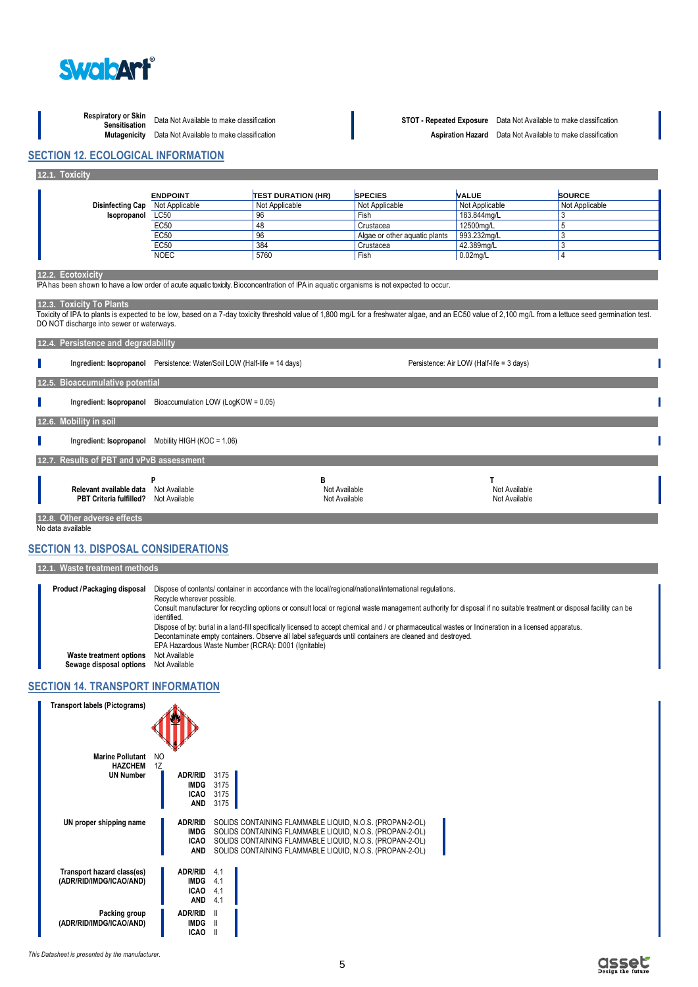

**Respiratory or Skin** 

**12.1. Toxicity**

## **Sensitisation** Data Not Available to make classification **STOT - Repeated Exposure** Data Not Available to make classification **Aspiration Hazard** Data Not Available to make classification

**SECTION 12. ECOLOGICAL INFORMATION**

| <b>Disinfecting Cap</b>                                                                                                                                                                                                                                                                                                                                                                                                     |                                                                           |                           |                               |                                           |                |
|-----------------------------------------------------------------------------------------------------------------------------------------------------------------------------------------------------------------------------------------------------------------------------------------------------------------------------------------------------------------------------------------------------------------------------|---------------------------------------------------------------------------|---------------------------|-------------------------------|-------------------------------------------|----------------|
|                                                                                                                                                                                                                                                                                                                                                                                                                             | <b>ENDPOINT</b>                                                           | <b>TEST DURATION (HR)</b> | <b>SPECIES</b>                | <b>VALUE</b>                              | <b>SOURCE</b>  |
|                                                                                                                                                                                                                                                                                                                                                                                                                             | Not Applicable                                                            | Not Applicable            | Not Applicable                | Not Applicable                            | Not Applicable |
| Isopropanol                                                                                                                                                                                                                                                                                                                                                                                                                 | LC50                                                                      | 96                        | Fish                          | 183.844ma/L                               | 3              |
|                                                                                                                                                                                                                                                                                                                                                                                                                             | <b>EC50</b>                                                               | 48                        | Crustacea                     | 12500mg/L                                 | 5              |
|                                                                                                                                                                                                                                                                                                                                                                                                                             | <b>EC50</b>                                                               | 96                        | Algae or other aquatic plants | 993.232mq/L                               | 3              |
|                                                                                                                                                                                                                                                                                                                                                                                                                             | <b>EC50</b>                                                               | 384                       | Crustacea                     | 42.389mg/L                                | 3              |
|                                                                                                                                                                                                                                                                                                                                                                                                                             | <b>NOEC</b>                                                               | 5760                      | Fish                          | $0.02$ mg/L                               | 4              |
| IPA has been shown to have a low order of acute aquatic toxicity. Bioconcentration of IPA in aquatic organisms is not expected to occur.<br>12.3. Toxicity To Plants<br>Toxicity of IPA to plants is expected to be low, based on a 7-day toxicity threshold value of 1,800 mq/L for a freshwater algae, and an EC50 value of 2,100 mq/L from a lettuce seed germination test.<br>DO NOT discharge into sewer or waterways. |                                                                           |                           |                               |                                           |                |
| 12.4. Persistence and degradability                                                                                                                                                                                                                                                                                                                                                                                         |                                                                           |                           |                               |                                           |                |
|                                                                                                                                                                                                                                                                                                                                                                                                                             | Ingredient: Isopropanol Persistence: Water/Soil LOW (Half-life = 14 days) |                           |                               | Persistence: Air LOW (Half-life = 3 days) |                |
| 12.5. Bioaccumulative potential                                                                                                                                                                                                                                                                                                                                                                                             |                                                                           |                           |                               |                                           |                |
| Ingredient: Isopropanol                                                                                                                                                                                                                                                                                                                                                                                                     | Bioaccumulation LOW (LogKOW = 0.05)                                       |                           |                               |                                           |                |
| 12.6. Mobility in soil                                                                                                                                                                                                                                                                                                                                                                                                      |                                                                           |                           |                               |                                           |                |
|                                                                                                                                                                                                                                                                                                                                                                                                                             |                                                                           |                           |                               |                                           |                |
|                                                                                                                                                                                                                                                                                                                                                                                                                             | Ingredient: Isopropanol Mobility HIGH (KOC = 1.06)                        |                           |                               |                                           |                |
| 12.7. Results of PBT and vPvB assessment                                                                                                                                                                                                                                                                                                                                                                                    |                                                                           |                           |                               |                                           |                |

No data available

## **SECTION 13. DISPOSAL CONSIDERATIONS**

**12.1. Waste treatment methods**

**Product /Packaging disposal** Dispose of contents/ container in accordance with the local/regional/national/international regulations. Recycle wherever possible. Consult manufacturer for recycling options or consult local or regional waste management authority for disposal if no suitable treatment or disposal facility can be identified. Dispose of by: burial in a land-fill specifically licensed to accept chemical and / or pharmaceutical wastes or Incineration in a licensed apparatus. Decontaminate empty containers. Observe all label safeguards until containers are cleaned and destroyed. EPA Hazardous Waste Number (RCRA): D001 (Ignitable) **Waste treatment options Sewage disposal options** Not Available

## **SECTION 14. TRANSPORT INFORMATION**

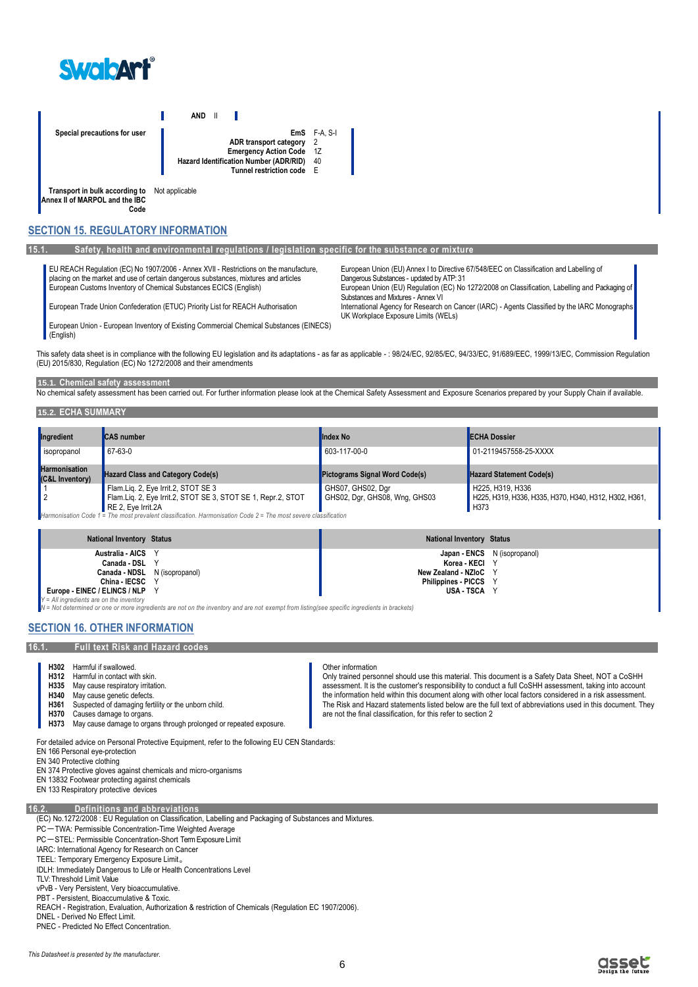

**AND** II Г **Special precautions for user EmS** F-A, S-I **ADR transport category** 2 **Emergency Action Code** 1Z<br> **Cation Number (ADR/RID)** 40 **Hazard Identification Number (ADR/RID)** 40<br>Tunnel restriction code **Tunnel restriction code Transport in bulk according to**  Not applicable

**Annex II of MARPOL and the IBC Code**

**SECTION 15. REGULATORY INFORMATION**

#### **15.1. Safety, health and environmental regulations / legislation specific for the substance or mixture**

EU REACH Regulation (EC) No 1907/2006 - Annex XVII - Restrictions on the manufacture, placing on the market and use of certain dangerous substances, mixtures and articles

European Union - European Inventory of Existing Commercial Chemical Substances (EINECS)

European Trade Union Confederation (ETUC) Priority List for REACH Authorisation International Agency for Research on Cancer (IARC) - Agents Classified by the IARC Monographs

European Union (EU) Annex I to Directive 67/548/EEC on Classification and Labelling of Dangerous Substances - updated by ATP: 31 European Customs Inventory of Chemical Substances ECICS (English) European Union (EU) Regulation (EC) No 1272/2008 on Classification, Labelling and Packaging of Substances and Mixtures - Annex VI

UK Workplace Exposure Limits (WELs)

This safety data sheet is in compliance with the following EU legislation and its adaptations - as far as applicable -: 98/24/EC, 92/85/EC, 94/33/EC, 91/689/EEC, 1999/13/EC, Commission Regulation (EU) 2015/830, Regulation (EC) No 1272/2008 and their amendments

#### **15.1. Chemical safety assessment**

No chemical safety assessment has been carried out. For further information please look at the Chemical Safety Assessment and Exposure Scenarios prepared by your Supply Chain if available.

### **15.2. ECHA SUMMARY**

(English)

| Ingredient                                         | <b>CAS</b> number                                                                                                                 | <b>Index No</b>                                    | <b>ECHA Dossier</b>                                                       |
|----------------------------------------------------|-----------------------------------------------------------------------------------------------------------------------------------|----------------------------------------------------|---------------------------------------------------------------------------|
| isopropanol                                        | 67-63-0                                                                                                                           | 603-117-00-0                                       | 01-2119457558-25-XXXX                                                     |
| <b>Harmonisation</b><br><b>C&amp;L Inventory</b> ) | <b>Hazard Class and Category Code(s)</b>                                                                                          | <b>Pictograms Signal Word Code(s)</b>              | <b>Hazard Statement Code(s)</b>                                           |
|                                                    | Flam.Liq. 2, Eye Irrit.2, STOT SE 3<br>Flam.Liq. 2, Eye Irrit.2, STOT SE 3, STOT SE 1, Repr.2, STOT                               | GHS07, GHS02, Dgr<br>GHS02, Dgr, GHS08, Wng, GHS03 | H225, H319, H336<br>H225, H319, H336, H335, H370, H340, H312, H302, H361, |
|                                                    | RE 2. Eve Irrit.2A<br>Hitamore to the Could The most moderate described in the moderation Could C. The most common described to a |                                                    | H373                                                                      |

*Harmonisation Code 1 = The most prevalent classification. Harmonisation Code 2 = The most severe classification*

| <b>National Inventory Status</b>          | <b>National Inventory Status</b>    |
|-------------------------------------------|-------------------------------------|
| Australia - AICS Y                        | <b>Japan - ENCS</b> N (isopropanol) |
| Canada - DSL Y                            | Korea - KECI                        |
| Canada - NDSL N (isopropanol)             | New Zealand - NZIoC Y               |
| China - IECSC Y                           | Philippines - PICCS Y               |
| Europe - EINEC / ELINCS / NLP Y           | USA-TSCA Y                          |
| $V = All inardients are on the invantory$ |                                     |

*Y = All ingredients are on the inventory N = Not determined or one or more ingredients are not on the inventory and are not exempt from listing(see specific ingredients in brackets)*

## **SECTION 16. OTHER INFORMATION**

### **16.1. Full text Risk and Hazard codes**

- **H302** Harmful if swallowed.
- **H312** Harmful in contact with skin.
- **H335** May cause respiratory irritation.<br>**H340** May cause genetic defects
- **H340** May cause genetic defects.<br>**H361** Suspected of damaging fer **H361** Suspected of damaging fertility or the unborn child.<br>**H370** Causes damage to organs.
- 
- **H370** Causes damage to organs.<br>**H373** May cause damage to orga May cause damage to organs through prolonged or repeated exposure.
- For detailed advice on Personal Protective Equipment, refer to the following EU CEN Standards:
- EN 166 Personal eye-protection
- EN 340 Protective clothing
- EN 374 Protective gloves against chemicals and micro-organisms
- EN 13832 Footwear protecting against chemicals
- EN 133 Respiratory protective devices

#### **16.2. Definitions and abbreviations**

- (EC) No.1272/2008 : EU Regulation on Classification, Labelling and Packaging of Substances and Mixtures.
- PC-TWA: Permissible Concentration-Time Weighted Average
- PC-STEL: Permissible Concentration-Short Term Exposure Limit
- IARC: International Agency for Research on Cancer
- TEEL: Temporary Emergency Exposure Limit。
- IDLH: Immediately Dangerous to Life or Health Concentrations Level
- TLV: Threshold Limit Value
- vPvB Very Persistent, Very bioaccumulative.
- PBT Persistent, Bioaccumulative & Toxic.
- REACH Registration, Evaluation, Authorization & restriction of Chemicals (Regulation EC 1907/2006).
- DNEL Derived No Effect Limit.
- PNEC Predicted No Effect Concentration.



Other information

#### Only trained personnel should use this material. This document is a Safety Data Sheet, NOT a CoSHH assessment. It is the customer's responsibility to conduct a full CoSHH assessment, taking into account the information held within this document along with other local factors considered in a risk assessment. The Risk and Hazard statements listed below are the full text of abbreviations used in this document. They are not the final classification, for this refer to section 2